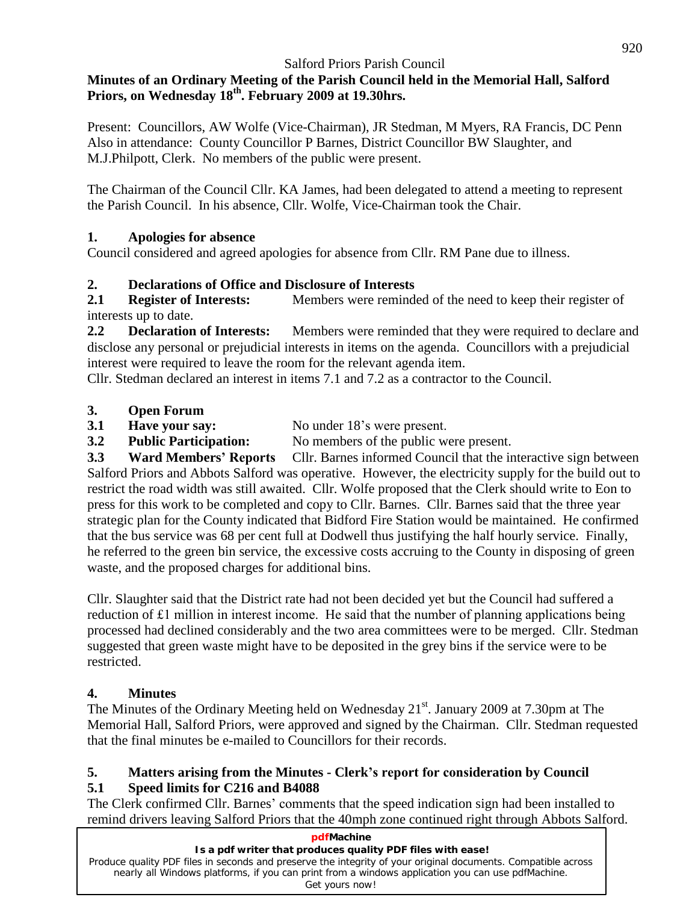#### **Minutes of an Ordinary Meeting of the Parish Council held in the Memorial Hall, Salford Priors, on Wednesday 18 th . February 2009 at 19.30hrs.**

Present: Councillors, AW Wolfe (Vice-Chairman), JR Stedman, M Myers, RA Francis, DC Penn Also in attendance: County Councillor P Barnes, District Councillor BW Slaughter, and M.J.Philpott, Clerk. No members of the public were present.

The Chairman of the Council Cllr. KA James, had been delegated to attend a meeting to represent the Parish Council. In his absence, Cllr. Wolfe, Vice-Chairman took the Chair.

#### **1. Apologies for absence**

Council considered and agreed apologies for absence from Cllr. RM Pane due to illness.

#### **2. Declarations of Office and Disclosure of Interests**

**2.1 Register of Interests:** Members were reminded of the need to keep their register of interests up to date.

**2.2 Declaration of Interests:** Members were reminded that they were required to declare and disclose any personal or prejudicial interests in items on the agenda. Councillors with a prejudicial interest were required to leave the room for the relevant agenda item.

Cllr. Stedman declared an interest in items 7.1 and 7.2 as a contractor to the Council.

#### **3. Open Forum**

**3.1 Have your say:** No under 18's were present.

**3.2 Public Participation:** No members of the public were present.

**3.3 Ward Members<sup>í</sup> Reports** Cllr. Barnes informed Council that the interactive sign between Salford Priors and Abbots Salford was operative. However, the electricity supply for the build out to restrict the road width was still awaited. Cllr. Wolfe proposed that the Clerk should write to Eon to press for this work to be completed and copy to Cllr. Barnes. Cllr. Barnes said that the three year strategic plan for the County indicated that Bidford Fire Station would be maintained. He confirmed that the bus service was 68 per cent full at Dodwell thus justifying the half hourly service. Finally, he referred to the green bin service, the excessive costs accruing to the County in disposing of green waste, and the proposed charges for additional bins.

Cllr. Slaughter said that the District rate had not been decided yet but the Council had suffered a reduction of £1 million in interest income. He said that the number of planning applications being processed had declined considerably and the two area committees were to be merged. Cllr. Stedman suggested that green waste might have to be deposited in the grey bins if the service were to be restricted.

## **4. Minutes**

The Minutes of the Ordinary Meeting held on Wednesday 21<sup>st</sup>. January 2009 at 7.30pm at The Memorial Hall, Salford Priors, were approved and signed by the Chairman. Cllr. Stedman requested that the final minutes be e-mailed to Councillors for their records.

#### **5. Matters arising from the Minutes - Clerkís report for consideration by Council 5.1 Speed limits for C216 and B4088**

The Clerk confirmed Cllr. Barnes' comments that the speed indication sign had been installed to remind drivers leaving Salford Priors that the 40mph zone continued right through Abbots Salford.

| pdfMachine                                                                                                                                                                                                         |
|--------------------------------------------------------------------------------------------------------------------------------------------------------------------------------------------------------------------|
| Is a pdf writer that produces quality PDF files with ease!                                                                                                                                                         |
| Produce quality PDF files in seconds and preserve the integrity of your original documents. Compatible across<br>nearly all Windows platforms, if you can print from a windows application you can use pdfMachine. |
| Get yours now!                                                                                                                                                                                                     |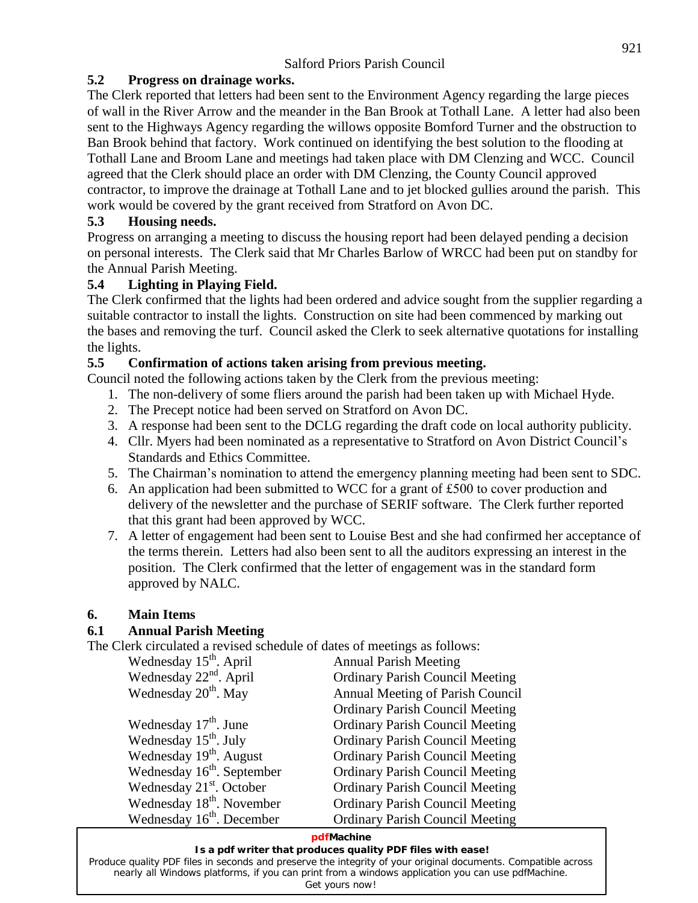#### **5.2 Progress on drainage works.**

The Clerk reported that letters had been sent to the Environment Agency regarding the large pieces of wall in the River Arrow and the meander in the Ban Brook at Tothall Lane. A letter had also been sent to the Highways Agency regarding the willows opposite Bomford Turner and the obstruction to Ban Brook behind that factory. Work continued on identifying the best solution to the flooding at Tothall Lane and Broom Lane and meetings had taken place with DM Clenzing and WCC. Council agreed that the Clerk should place an order with DM Clenzing, the County Council approved contractor, to improve the drainage at Tothall Lane and to jet blocked gullies around the parish. This work would be covered by the grant received from Stratford on Avon DC.

#### **5.3 Housing needs.**

Progress on arranging a meeting to discuss the housing report had been delayed pending a decision on personal interests. The Clerk said that Mr Charles Barlow of WRCC had been put on standby for the Annual Parish Meeting.

#### **5.4 Lighting in Playing Field.**

The Clerk confirmed that the lights had been ordered and advice sought from the supplier regarding a suitable contractor to install the lights. Construction on site had been commenced by marking out the bases and removing the turf. Council asked the Clerk to seek alternative quotations for installing the lights.

#### **5.5 Confirmation of actions taken arising from previous meeting.**

Council noted the following actions taken by the Clerk from the previous meeting:

- 1. The non-delivery of some fliers around the parish had been taken up with Michael Hyde.
- 2. The Precept notice had been served on Stratford on Avon DC.
- 3. A response had been sent to the DCLG regarding the draft code on local authority publicity. 2. The Precept notice had been served on Stratford on Avon DC.<br>3. A response had been sent to the DCLG regarding the draft code on local authority publicity.<br>4. Cllr. Myers had been nominated as a representative to Stratfo
- Standards and Ethics Committee. 5. The Chairman's nomination to attend the emergency planning meeting had been sent to SDC.<br>
5. The Chairman's nomination to attend the emergency planning meeting had been sent to SDC.
- 
- 6. An application had been submitted to WCC for <sup>a</sup> grant of £500 to cover production and delivery of the newsletter and the purchase of SERIF software. The Clerk further reported that this grant had been approved by WCC.
- 7. A letter of engagement had been sent to Louise Best and she had confirmed her acceptance of the terms therein. Letters had also been sent to all the auditors expressing an interest in the position. The Clerk confirmed that the letter of engagement was in the standard form approved by NALC.

#### **6. Main Items**

#### **6.1 Annual Parish Meeting**

The Clerk circulated a revised schedule of dates of meetings as follows:

| Wednesday 15 <sup>th</sup> . April     | <b>Annual Parish Meeting</b>           |
|----------------------------------------|----------------------------------------|
| Wednesday $22nd$ . April               | <b>Ordinary Parish Council Meeting</b> |
| Wednesday 20 <sup>th</sup> . May       | Annual Meeting of Parish Council       |
|                                        | <b>Ordinary Parish Council Meeting</b> |
| Wednesday $17th$ . June                | <b>Ordinary Parish Council Meeting</b> |
| Wednesday 15 <sup>th</sup> . July      | <b>Ordinary Parish Council Meeting</b> |
| Wednesday 19 <sup>th</sup> . August    | <b>Ordinary Parish Council Meeting</b> |
| Wednesday $16^{\text{th}}$ . September | <b>Ordinary Parish Council Meeting</b> |
| Wednesday $21st$ . October             | <b>Ordinary Parish Council Meeting</b> |
| Wednesday 18 <sup>th</sup> . November  | <b>Ordinary Parish Council Meeting</b> |
| Wednesday 16 <sup>th</sup> . December  | <b>Ordinary Parish Council Meeting</b> |

#### **pdfMachine**

#### **Is a pdf writer that produces quality PDF files with ease!**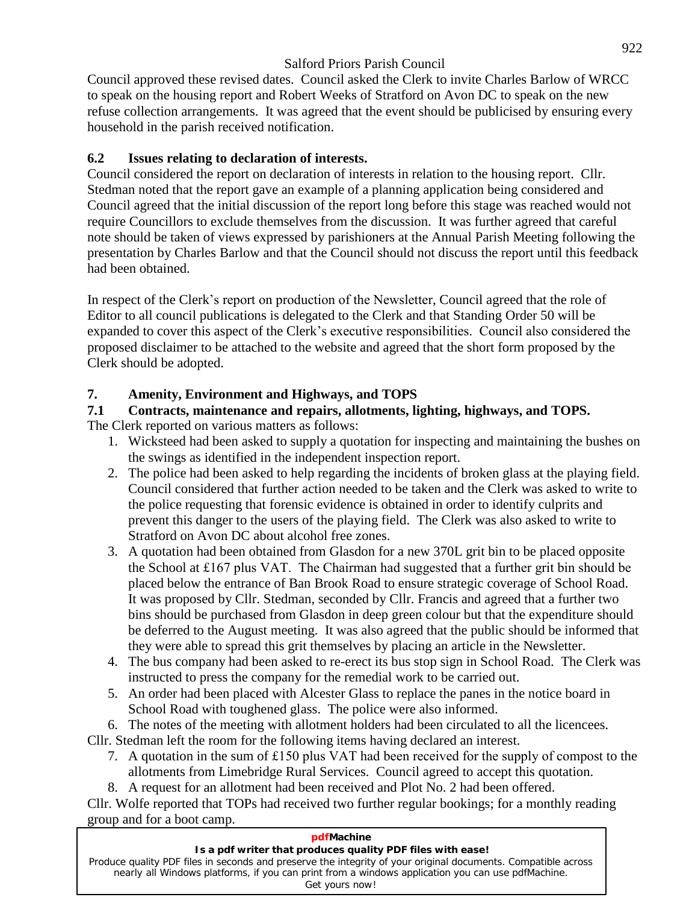Council approved these revised dates. Council asked the Clerk to invite Charles Barlow of WRCC to speak on the housing report and Robert Weeks of Stratford on Avon DC to speak on the new refuse collection arrangements. It was agreed that the event should be publicised by ensuring every household in the parish received notification.

#### **6.2 Issues relating to declaration of interests.**

Council considered the report on declaration of interests in relation to the housing report. Cllr. Stedman noted that the report gave an example of a planning application being considered and Council agreed that the initial discussion of the report long before this stage was reached would not require Councillors to exclude themselves from the discussion. It was further agreed that careful note should be taken of views expressed by parishioners at the Annual Parish Meeting following the presentation by Charles Barlow and that the Council should not discuss the report until this feedback had been obtained.

In respect of the Clerk's report on production of the Newsletter, Council agreed that the role of Editor to all council publications is delegated to the Clerk and that Standing Order 50 will be expanded to cover this aspect of the Clerk's executive responsibilities. Council also considered the proposed disclaimer to be attached to the website and agreed that the short form proposed by the Clerk should be adopted.

#### **7. Amenity, Environment and Highways, and TOPS**

## **7.1 Contracts, maintenance and repairs, allotments, lighting, highways, and TOPS.**

The Clerk reported on various matters as follows:

- 1. Wicksteed had been asked to supply a quotation for inspecting and maintaining the bushes on the swings as identified in the independent inspection report.
- 2. The police had been asked to help regarding the incidents of broken glass at the playing field. Council considered that further action needed to be taken and the Clerk was asked to write to the police requesting that forensic evidence is obtained in order to identify culprits and prevent this danger to the users of the playing field. The Clerk was also asked to write to Stratford on Avon DC about alcohol free zones.
- 3. A quotation had been obtained from Glasdon for a new 370L grit bin to be placed opposite Stratford on Avon DC about alcohol free zones.<br>A quotation had been obtained from Glasdon for a new 370L grit bin to be placed opposite<br>the School at £167 plus VAT. The Chairman had suggested that a further grit bin should placed below the entrance of Ban Brook Road to ensure strategic coverage of School Road. It was proposed by Cllr. Stedman, seconded by Cllr. Francis and agreed that a further two bins should be purchased from Glasdon in deep green colour but that the expenditure should be deferred to the August meeting. It was also agreed that the public should be informed that they were able to spread this grit themselves by placing an article in the Newsletter.
- 4. The bus company had been asked to re-erect its bus stop sign in School Road. The Clerk was instructed to press the company for the remedial work to be carried out.
- 5. An order had been placed with Alcester Glass to replace the panes in the notice board in School Road with toughened glass. The police were also informed.
- 6. The notes of the meeting with allotment holders had been circulated to all the licencees.

Cllr. Stedman left the room for the following items having declared an interest.

- 7. <sup>A</sup> quotation in the sum of £150 plus VAT had been received for the supply of compos<sup>t</sup> to the allotments from Limebridge Rural Services. Council agreed to accept this quotation.
- 8. A request for an allotment had been received and Plot No. 2 had been offered.

Cllr. Wolfe reported that TOPs had received two further regular bookings; for a monthly reading group and for a boot camp.

#### **pdfMachine Is a pdf writer that produces quality PDF files with ease!** [Produce quality PDF files in seconds and preserve the integrity of your original documents. Compatible across](http://www.pdfmachine.com?cl)  nearly all Windows platforms, if you can print from a windows application you can use pdfMachine. Get yours now!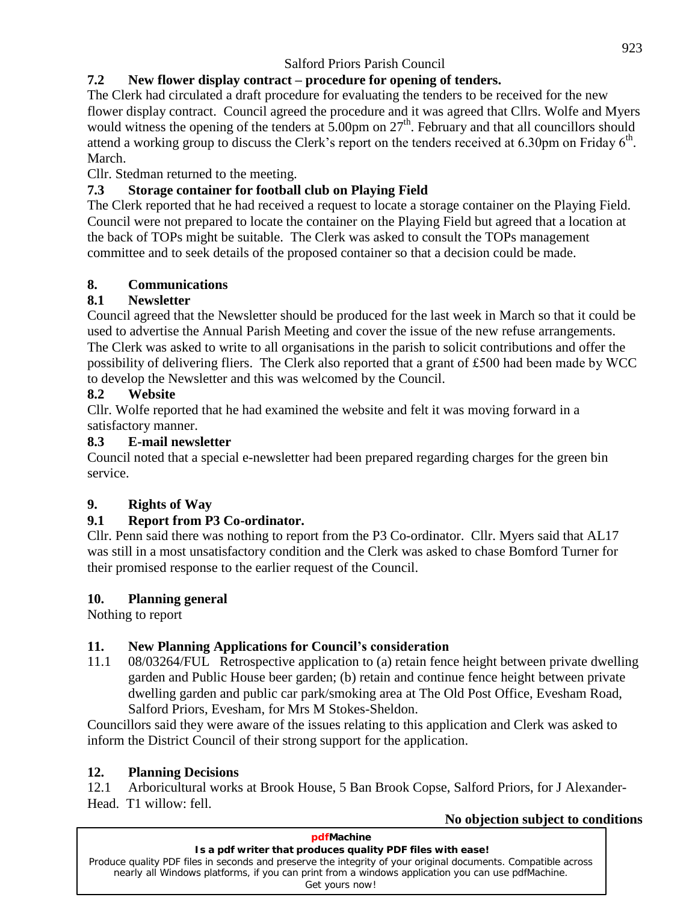## **7.2 New flower display contract <sup>ñ</sup> procedure for opening of tenders.**

The Clerk had circulated a draft procedure for evaluating the tenders to be received for the new flower display contract. Council agreed the procedure and it was agreed that Cllrs. Wolfe and Myers would witness the opening of the tenders at 5.00pm on 27<sup>th</sup>. February and that all councillors should attend a working g would witness the opening of the tenders at  $5.00 \text{pm}$  on  $27^{\text{th}}$ . February and that all councillors should th . March.

Cllr. Stedman returned to the meeting.

## **7.3 Storage container for football club on Playing Field**

The Clerk reported that he had received a request to locate a storage container on the Playing Field. Council were not prepared to locate the container on the Playing Field but agreed that a location at the back of TOPs might be suitable. The Clerk was asked to consult the TOPs management committee and to seek details of the proposed container so that a decision could be made.

#### **8. Communications**

#### **8.1 Newsletter**

Council agreed that the Newsletter should be produced for the last week in March so that it could be used to advertise the Annual Parish Meeting and cover the issue of the new refuse arrangements.<br>The Clerk was asked to write to all organisations in the parish to solicit contributions and offer the<br>possibility of deliveri The Clerk was asked to write to all organisations in the parish to solicit contributions and offer the to develop the Newsletter and this was welcomed by the Council.

#### **8.2 Website**

Cllr. Wolfe reported that he had examined the website and feltit was moving forward in a satisfactory manner.

#### **8.3 E-mail newsletter**

Council noted that a special e-newsletter had been prepared regarding charges for the green bin service.

## **9. Rights of Way**

## **9.1 Report from P3 Co-ordinator.**

Cllr. Penn said there was nothing to report from the P3 Co-ordinator. Cllr. Myers said that AL17 was still in a most unsatisfactory condition and the Clerk was asked to chase Bomford Turner for their promised response to the earlier request of the Council.

#### **10. Planning general**

Nothing to report

## **11. New Planning Applications for Councilís consideration**

11.1 08/03264/FUL Retrospective application to (a) retain fence height between private dwelling garden and Public House beer garden; (b) retain and continue fence height between private dwelling garden and public car park/smoking area at The Old Post Office, Evesham Road, Salford Priors, Evesham, for Mrs M Stokes-Sheldon.

Councillors said they were aware of the issues relating to this application and Clerk was asked to inform the District Council of their strong support for the application.

#### **12. Planning Decisions**

12.1 Arboricultural works at Brook House, 5 Ban Brook Copse, Salford Priors, for J Alexander- Head. T1 willow: fell.

| No objection subject to conditions                                                                            |  |
|---------------------------------------------------------------------------------------------------------------|--|
| pdfMachine                                                                                                    |  |
| Is a pdf writer that produces quality PDF files with ease!                                                    |  |
| Produce quality PDF files in seconds and preserve the integrity of your original documents. Compatible across |  |
| nearly all Windows platforms, if you can print from a windows application you can use pdfMachine.             |  |
| Get yours now!                                                                                                |  |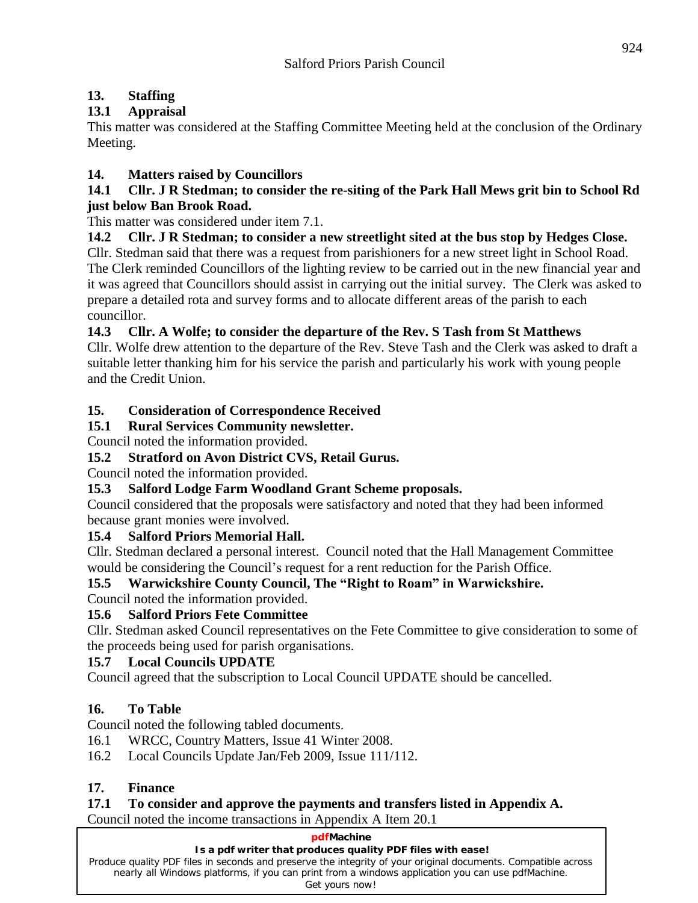## **13. Staffing**

## **13.1 Appraisal**

This matter was considered at the Staffing Committee Meeting held at the conclusion of the Ordinary Meeting.

## **14. Matters raised by Councillors**

#### 14.1 Cllr. J R Stedman; to consider the re-siting of the Park Hall Mews grit bin to School Rd **just below Ban Brook Road.**

This matter was considered under item 7.1.

#### **14.2 Cllr. J R Stedman; to consider a new streetlight sited at the bus stop by Hedges Close.**

Cllr. Stedman said that there was a request from parishioners for a new street light in School Road. The Clerk reminded Councillors of the lighting review to be carried out in the new financial year and it was agreed that Councillors should assist in carrying out the initial survey. The Clerk was asked to prepare a detailed rota and survey forms and to allocate different areas of the parish to each councillor.

#### **14.3 Cllr. A Wolfe; to consider the departure of the Rev. S Tash from St Matthews**

Cllr. Wolfe drew attention to the departure of the Rev. Steve Tash and the Clerk was asked to draft a suitable letter thanking him for his service the parish and particularly his work with young people and the Credit Union.

#### **15. Consideration of Correspondence Received**

## **15.1 Rural Services Community newsletter.**

Council noted the information provided.

## **15.2 Stratford on Avon District CVS, Retail Gurus.**

Council noted the information provided.

## **15.3 Salford Lodge Farm Woodland Grant Scheme proposals.**

Council considered that the proposals were satisfactory and noted that they had been informed because grant monies were involved.

#### **15.4 Salford Priors Memorial Hall.**

Cllr. Stedman declared a personal interest. Council noted that the Hall Management Committee 15.4 Salford Priors Memorial Hall.<br>Cllr. Stedman declared a personal interest. Council noted that the Hall Management Com<br>would be considering the Council's request for a rent reduction for the Parish Office.

# **15.5 Warwickshire Council's request for a rent reduction for the Parish Office.<br>
<b>15.5 Warwickshire County Council, The "Right to Roam" in Warwickshire.**

#### Council noted the information provided.

## **15.6 Salford Priors Fete Committee**

Cllr. Stedman asked Council representatives on the Fete Committee to give consideration to some of the proceeds being used for parish organisations.

#### **15.7 Local Councils UPDATE**

Council agreed that the subscription to Local Council UPDATE should be cancelled.

## **16. To Table**

Council noted the following tabled documents.

- 16.1 WRCC, Country Matters, Issue 41 Winter 2008.
- 16.2 Local Councils Update Jan/Feb 2009, Issue 111/112.

## **17. Finance**

## **17.1 To consider and approve the payments and transfers listed in Appendix A.**

Council noted the income transactions in Appendix A Item 20.1

#### **pdfMachine**

#### **Is a pdf writer that produces quality PDF files with ease!**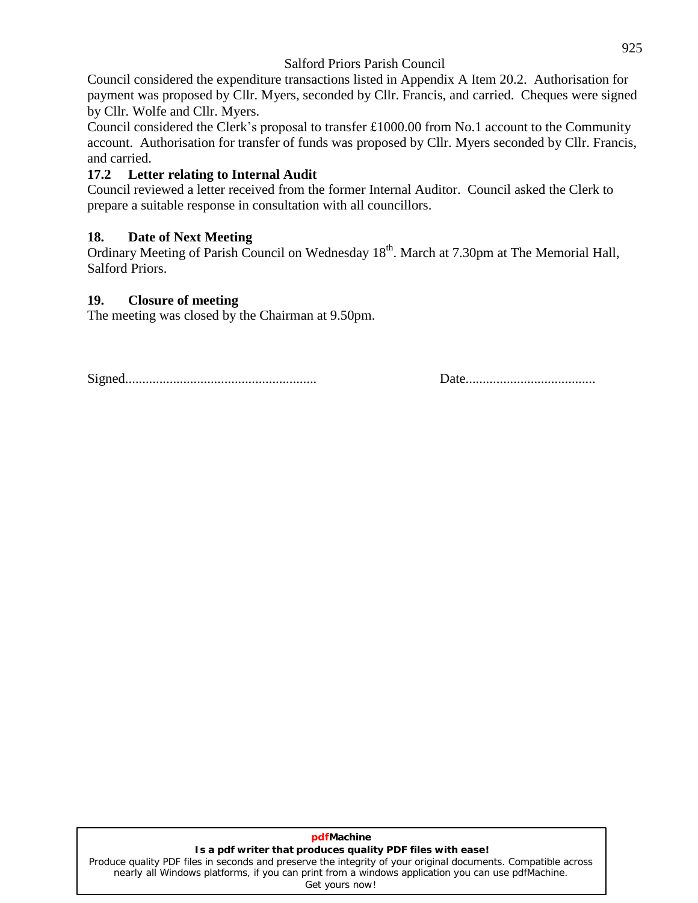Council considered the expenditure transactions listed in Appendix A Item 20.2. Authorisation for payment was proposed by Cllr. Myers, seconded by Cllr. Francis, and carried. Cheques were signed<br>by Cllr. Wolfe and Cllr. Myers.<br>Council considered the Clerk's proposal to transfer £1000.00 from No.1 account to the Communi by Cllr. Wolfe and Cllr. Myers.

account. Authorisation for transfer of funds was proposed by Cllr. Myers seconded by Cllr. Francis, and carried.

#### **17.2 Letter relating to Internal Audit**

Council reviewed a letter received from the former Internal Auditor. Council asked the Clerk to prepare a suitable response in consultation with all councillors.

#### **18. Date of Next Meeting**

Ordinary Meeting of Parish Council on Wednesday 18<sup>th</sup>. March at 7.30pm at The Memorial Hall, Salford Priors.

#### **19. Closure of meeting**

The meeting was closed by the Chairman at 9.50pm.

Signed........................................................ Date......................................

#### **pdfMachine Is a pdf writer that produces quality PDF files with ease!**